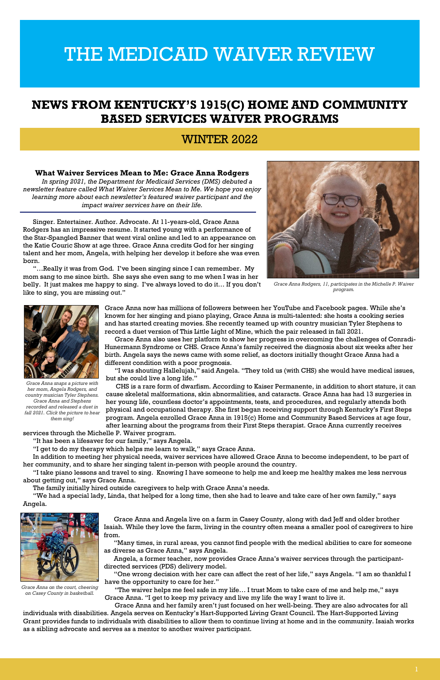## **NEWS FROM KENTUCKY'S 1915(C) HOME AND COMMUNITY BASED SERVICES WAIVER PROGRAMS**

## WINTER 2022

#### **What Waiver Services Mean to Me: Grace Anna Rodgers**

*In spring 2021, the Department for Medicaid Services (DMS) debuted a newsletter feature called What Waiver Services Mean to Me. We hope you enjoy learning more about each newsletter's featured waiver participant and the impact waiver services have on their life.*

Singer. Entertainer. Author. Advocate. At 11-years-old, Grace Anna Rodgers has an impressive resume. It started young with a performance of the Star-Spangled Banner that went viral online and led to an appearance on the Katie Couric Show at age three. Grace Anna credits God for her singing talent and her mom, Angela, with helping her develop it before she was even born.



"…Really it was from God. I've been singing since I can remember. My mom sang to me since birth. She says she even sang to me when I was in her belly. It just makes me happy to sing. I've always loved to do it… If you don't like to sing, you are missing out."

> Grace Anna now has millions of followers between her YouTube and Facebook pages. While she's known for her singing and piano playing, Grace Anna is multi-talented: she hosts a cooking series and has started creating movies. She recently teamed up with country musician Tyler Stephens to record a duet version of This Little Light of Mine, which the pair released in fall 2021.

Grace Anna also uses her platform to show her progress in overcoming the challenges of Conradi-Hunermann Syndrome or CHS. Grace Anna's family received the diagnosis about six weeks after her birth. Angela says the news came with some relief, as doctors initially thought Grace Anna had a different condition with a poor prognosis.

"I was shouting Hallelujah," said Angela. "They told us (with CHS) she would have medical issues, but she could live a long life."

CHS is a rare form of dwarfism. According to Kaiser Permanente, in addition to short stature, it can cause skeletal malformations, skin abnormalities, and cataracts. Grace Anna has had 13 surgeries in her young life, countless doctor's appointments, tests, and procedures, and regularly attends both physical and occupational therapy. She first began receiving support through Kentucky's First Steps program. Angela enrolled Grace Anna in 1915(c) Home and Community Based Services at age four, after learning about the programs from their First Steps therapist. Grace Anna currently receives

services through the Michelle P. Waiver program.

"It has been a lifesaver for our family," says Angela.

"I get to do my therapy which helps me learn to walk," says Grace Anna.

In addition to meeting her physical needs, waiver services have allowed Grace Anna to become independent, to be part of her community, and to share her singing talent in-person with people around the country.

"I take piano lessons and travel to sing. Knowing I have someone to help me and keep me healthy makes me less nervous about getting out," says Grace Anna.

The family initially hired outside caregivers to help with Grace Anna's needs.

"We had a special lady, Linda, that helped for a long time, then she had to leave and take care of her own family," says

#### Angela.

Grace Anna and Angela live on a farm in Casey County, along with dad Jeff and older brother Isaiah. While they love the farm, living in the country often means a smaller pool of caregivers to hire from.

"Many times, in rural areas, you cannot find people with the medical abilities to care for someone as diverse as Grace Anna," says Angela.

Angela, a former teacher, now provides Grace Anna's waiver services through the participantdirected services (PDS) delivery model.

"One wrong decision with her care can affect the rest of her life," says Angela. "I am so thankful I have the opportunity to care for her."

"The waiver helps me feel safe in my life… I trust Mom to take care of me and help me," says Grace Anna. "I get to keep my privacy and live my life the way I want to live it.

Grace Anna and her family aren't just focused on her well-being. They are also advocates for all

individuals with disabilities. Angela serves on Kentucky's Hart-Supported Living Grant Council. The Hart-Supported Living Grant provides funds to individuals with disabilities to allow them to continue living at home and in the community. Isaiah works as a sibling advocate and serves as a mentor to another waiver participant.

*Grace Anna Rodgers, 11, participates in the Michelle P. Waiver program.*



*Grace Anna on the court, cheering on Casey County in basketball.*



*Grace Anna snaps a picture with her mom, Angela Rodgers, and country musician Tyler Stephens. Grace Anna and Stephens recorded and released a duet in fall 2021. Click the picture to hear them sing!*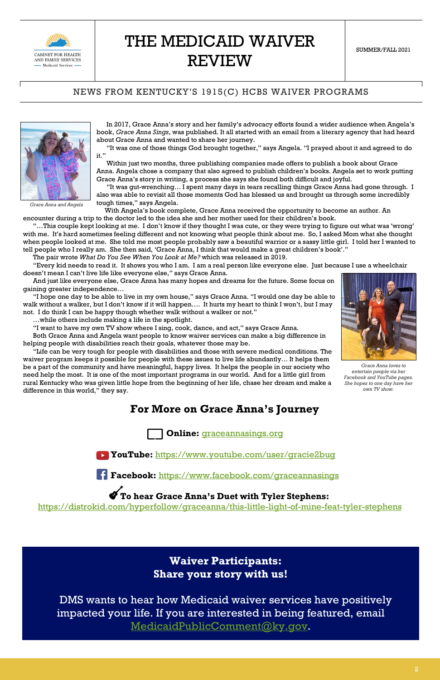

#### NEWS FROM KENTUCKY'S 1915(C) HCBS WAIVER PROGRAMS

In 2017, Grace Anna's story and her family's advocacy efforts found a wider audience when Angela's book, *Grace Anna Sings*, was published. It all started with an email from a literary agency that had heard about Grace Anna and wanted to share her journey.

"It was one of those things God brought together," says Angela. "I prayed about it and agreed to do it."

Within just two months, three publishing companies made offers to publish a book about Grace Anna. Angela chose a company that also agreed to publish children's books. Angela set to work putting Grace Anna's story in writing, a process she says she found both difficult and joyful.

"It was gut-wrenching… I spent many days in tears recalling things Grace Anna had gone through. I also was able to revisit all those moments God has blessed us and brought us through some incredibly tough times," says Angela.

With Angela's book complete, Grace Anna received the opportunity to become an author. An

encounter during a trip to the doctor led to the idea she and her mother used for their children's book.

"…This couple kept looking at me. I don't know if they thought I was cute, or they were trying to figure out what was 'wrong' with me. It's hard sometimes feeling different and not knowing what people think about me. So, I asked Mom what she thought when people looked at me. She told me most people probably saw a beautiful warrior or a sassy little girl. I told her I wanted to tell people who I really am. She then said, 'Grace Anna, I think that would make a great children's book'."

The pair wrote *What Do You See When You Look at Me?* which was released in 2019.

"Every kid needs to read it. It shows you who I am. I am a real person like everyone else. Just because I use a wheelchair doesn't mean I can't live life like everyone else," says Grace Anna.

And just like everyone else, Grace Anna has many hopes and dreams for the future. Some focus on gaining greater independence…

"I hope one day to be able to live in my own house," says Grace Anna. "I would one day be able to walk without a walker, but I don't know if it will happen…. It hurts my heart to think I won't, but I may not. I do think I can be happy though whether walk without a walker or not."

…while others include making a life in the spotlight.

"I want to have my own TV show where I sing, cook, dance, and act," says Grace Anna.

Both Grace Anna and Angela want people to know waiver services can make a big difference in helping people with disabilities reach their goals, whatever those may be.

"Life can be very tough for people with disabilities and those with severe medical conditions. The waiver program keeps it possible for people with these issues to live life abundantly… It helps them be a part of the community and have meaningful, happy lives. It helps the people in our society who need help the most. It is one of the most important programs in our world. And for a little girl from rural Kentucky who was given little hope from the beginning of her life, chase her dream and make a difference in this world," they say.

## **For More on Grace Anna's Journey**

**Online:** [graceannasings.org](https://www.graceannasings.org/)

**YouTube:** <https://www.youtube.com/user/gracie2bug>



**Facebook:** <https://www.facebook.com/graceannasings>

**To hear Grace Anna's Duet with Tyler Stephens:** 

<https://distrokid.com/hyperfollow/graceanna/this-little-light-of-mine-feat-tyler-stephens>

## **Waiver Participants: Share your story with us!**

DMS wants to hear how Medicaid waiver services have positively impacted your life. If you are interested in being featured, email [MedicaidPublicComment@ky.gov.](mailto:MedicaidPublicComment@ky.gov)



*Grace Anna and Angela*



*Grace Anna loves to entertain people via her Facebook and YouTube pages. She hopes to one day have her own TV show.*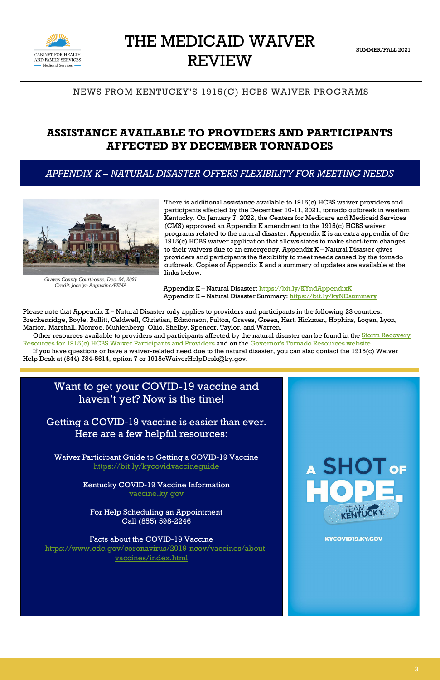

#### NEWS FROM KENTUCKY'S 1915(C) HCBS WAIVER PROGRAMS

## **ASSISTANCE AVAILABLE TO PROVIDERS AND PARTICIPANTS AFFECTED BY DECEMBER TORNADOES**

#### *APPENDIX K – NATURAL DISASTER OFFERS FLEXIBILITY FOR MEETING NEEDS*

There is additional assistance available to 1915(c) HCBS waiver providers and participants affected by the December 10-11, 2021, tornado outbreak in western Kentucky. On January 7, 2022, the Centers for Medicare and Medicaid Services (CMS) approved an Appendix K amendment to the 1915(c) HCBS waiver programs related to the natural disaster. Appendix K is an extra appendix of the 1915(c) HCBS waiver application that allows states to make short-term changes to their waivers due to an emergency. Appendix K – Natural Disaster gives providers and participants the flexibility to meet needs caused by the tornado outbreak. Copies of Appendix K and a summary of updates are available at the links below.

Other resources available to providers and participants affected by the natural disaster can be found in the **Storm Recovery** [Resources for 1915\(c\) HCBS Waiver Participants and Providers](https://chfs.ky.gov/agencies/dms/dca/Documents/WKYstormresources.pdf) and on the [Governor's Tornado Resources website.](https://governor.ky.gov/tornadoresources)

Appendix K – Natural Disaster:<https://bit.ly/KYndAppendixK> Appendix K – Natural Disaster Summary:<https://bit.ly/kyNDsummary>

Please note that Appendix K – Natural Disaster only applies to providers and participants in the following 23 counties: Breckenridge, Boyle, Bullitt, Caldwell, Christian, Edmonson, Fulton, Graves, Green, Hart, Hickman, Hopkins, Logan, Lyon, Marion, Marshall, Monroe, Muhlenberg, Ohio, Shelby, Spencer, Taylor, and Warren.

If you have questions or have a waiver-related need due to the natural disaster, you can also contact the 1915(c) Waiver Help Desk at (844) 784-5614, option 7 or 1915cWaiverHelpDesk@ky.gov.

## Want to get your COVID-19 vaccine and haven't yet? Now is the time!

Getting a COVID-19 vaccine is easier than ever. Here are a few helpful resources:

Waiver Participant Guide to Getting a COVID-19 Vaccine <https://bit.ly/kycovidvaccineguide>

> Kentucky COVID-19 Vaccine Information [vaccine.ky.gov](https://govstatus.egov.com/ky-covid-vaccine)

# A SHOT OF

For Help Scheduling an Appointment Call (855) 598-2246

#### Facts about the COVID-19 Vaccine [https://www.cdc.gov/coronavirus/2019-ncov/vaccines/about](https://www.cdc.gov/coronavirus/2019-ncov/vaccines/about-vaccines/index.html)[vaccines/index.html](https://www.cdc.gov/coronavirus/2019-ncov/vaccines/about-vaccines/index.html)



#### **KYCOVID19.KY.GOV**



*Graves County Courthouse, Dec. 24, 2021 Credit: Jocelyn Augustino/FEMA*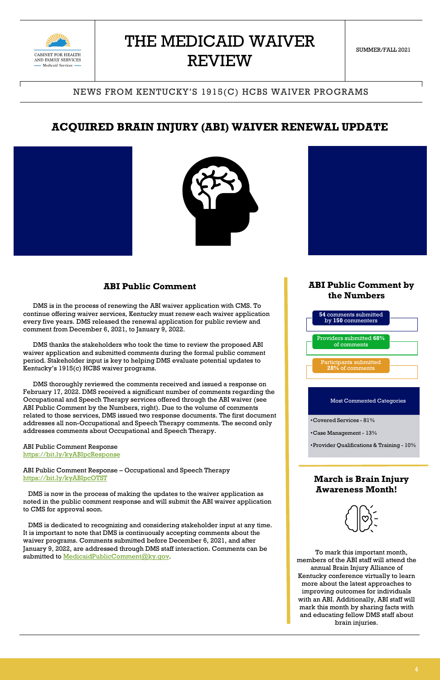

SUMMER/FALL 2021

## NEWS FROM KENTUCKY'S 1915(C) HCBS WAIVER PROGRAMS

## **ACQUIRED BRAIN INJURY (ABI) WAIVER RENEWAL UPDATE**





#### **ABI Public Comment**

DMS is in the process of renewing the ABI waiver application with CMS. To continue offering waiver services, Kentucky must renew each waiver application every five years. DMS released the renewal application for public review and comment from December 6, 2021, to January 9, 2022.

DMS thanks the stakeholders who took the time to review the proposed ABI waiver application and submitted comments during the formal public comment period. Stakeholder input is key to helping DMS evaluate potential updates to Kentucky's 1915(c) HCBS waiver programs.

 DMS is dedicated to recognizing and considering stakeholder input at any time. It is important to note that DMS is continuously accepting comments about the waiver programs. Comments submitted before December 6, 2021, and after January 9, 2022, are addressed through DMS staff interaction. Comments can be submitted to [MedicaidPublicComment@ky.gov.](mailto:MedicaidPublicComment@ky.gov)



DMS thoroughly reviewed the comments received and issued a response on February 17, 2022. DMS received a significant number of comments regarding the Occupational and Speech Therapy services offered through the ABI waiver (see ABI Public Comment by the Numbers, right). Due to the volume of comments related to those services, DMS issued two response documents. The first document addresses all non-Occupational and Speech Therapy comments. The second only addresses comments about Occupational and Speech Therapy.

ABI Public Comment Response <https://bit.ly/kyABIpcResponse>

ABI Public Comment Response – Occupational and Speech Therapy <https://bit.ly/kyABIpcOTST>

 DMS is now in the process of making the updates to the waiver application as noted in the public comment response and will submit the ABI waiver application to CMS for approval soon.



#### **ABI Public Comment by the Numbers**

#### **March is Brain Injury Awareness Month!**

To mark this important month, members of the ABI staff will attend the annual Brain Injury Alliance of Kentucky conference virtually to learn more about the latest approaches to improving outcomes for individuals with an ABI. Additionally, ABI staff will mark this month by sharing facts with and educating fellow DMS staff about brain injuries.



#### Most Commented Categories

•Covered Services - 81%

•Case Management - 13%

•Provider Qualifications & Training - 10%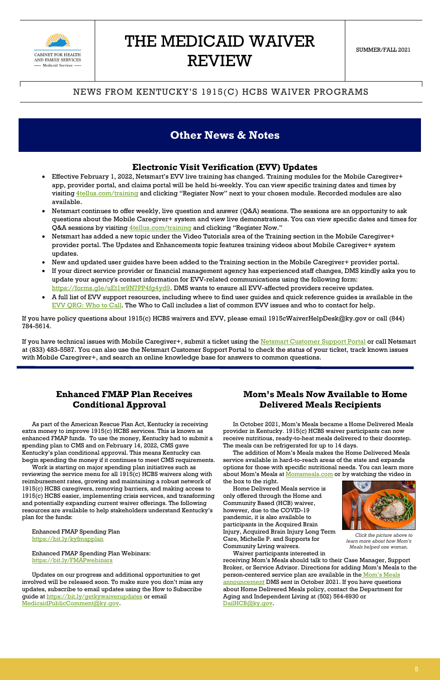

#### NEWS FROM KENTUCKY'S 1915(C) HCBS WAIVER PROGRAMS

## **Other News & Notes**

#### **Electronic Visit Verification (EVV) Updates**

- Effective February 1, 2022, Netsmart's EVV live training has changed. Training modules for the Mobile Caregiver+ app, provider portal, and claims portal will be held bi-weekly. You can view specific training dates and times by visiting *4tellus.com/training* and clicking "Register Now" next to your chosen module. Recorded modules are also available.
- Netsmart continues to offer weekly, live question and answer (Q&A) sessions. The sessions are an opportunity to ask questions about the Mobile Caregiver+ system and view live demonstrations. You can view specific dates and times for Q&A sessions by visiting *4tellus.com/training* and clicking "Register Now."
- Netsmart has added a new topic under the Video Tutorials area of the Training section in the Mobile Caregiver+ provider portal. The Updates and Enhancements topic features training videos about Mobile Caregiver+ system updates.
- New and updated user guides have been added to the Training section in the Mobile Caregiver+ provider portal.
- If your direct service provider or financial management agency has experienced staff changes, DMS kindly asks you to update your agency's contact information for EVV-related communications using the following form: [https://forms.gle/uEt1w9N7PP4fg4yd9.](https://urldefense.com/v3/__https:/forms.gle/uEt1w9N7PP4fg4yd9__;!!Db6frn15oIvDD3UI!x6E_uvl9bJ8twVlknFQx1n4T3l2qEn9V68KYq-7GaiTfEGuE5InLG7auFv_wJxXtNg$) DMS wants to ensure all EVV-affected providers receive updates.
- A full list of EVV support resources, including where to find user guides and quick reference guides is available in the [EVV QRG: Who to Call.](https://chfs.ky.gov/agencies/dms/dca/Documents/evvqrgwhotocall.pdf) The Who to Call includes a list of common EVV issues and who to contact for help.

If you have technical issues with Mobile Caregiver+, submit a ticket using the [Netsmart Customer Support Portal](https://urldefense.com/v3/__https:/ntstconnect.b2clogin.com/ntstconnect.onmicrosoft.com/b2c_1a_signup_signin/oauth2/v2.0/authorize?nonce=ed193c3a-d769-4923-b030-d5701000ec7a&response_type=code&client_id=182125c9-506e-4063-bfc3-960f3735fd73&redirect_uri=https*3A*2F*2Fnetsmartconnect.com*2F.b2cOAuthCallbackAction.do&scope=182125c9-506e-4063-bfc3-960f3735fd73*20openid&state=0851F467A2F10DCDFF9033B03F5A7998.browsing.12498__;JSUlJSU!!Db6frn15oIvDD3UI!x6E_uvl9bJ8twVlknFQx1n4T3l2qEn9V68KYq-7GaiTfEGuE5InLG7auFv-GfP2qew$) or call Netsmart at (833) 483-5587. You can also use the Netsmart Customer Support Portal to check the status of your ticket, track known issues with Mobile Caregiver+, and search an online knowledge base for answers to common questions.

If you have policy questions about 1915(c) HCBS waivers and EVV, please email 1915cWaiverHelpDesk@ky.gov or call (844) 784-5614.

#### **Enhanced FMAP Plan Receives Conditional Approval**

As part of the American Rescue Plan Act, Kentucky is receiving extra money to improve 1915(c) HCBS services. This is known as enhanced FMAP funds. To use the money, Kentucky had to submit a spending plan to CMS and on February 14, 2022, CMS gave Kentucky's plan conditional approval. This means Kentucky can begin spending the money if it continues to meet CMS requirements.

Work is starting on major spending plan initiatives such as reviewing the service menu for all 1915(c) HCBS waivers along with reimbursement rates, growing and maintaining a robust network of 1915(c) HCBS caregivers, removing barriers, and making access to 1915(c) HCBS easier, implementing crisis services, and transforming

and potentially expanding current waiver offerings. The following resources are available to help stakeholders understand Kentucky's plan for the funds:

Enhanced FMAP Spending Plan <https://bit.ly/kyfmapplan>

#### Enhanced FMAP Spending Plan Webinars: <https://bit.ly/FMAPwebinars>

Updates on our progress and additional opportunities to get involved will be released soon. To make sure you don't miss any updates, subscribe to email updates using the How to Subscribe guide a[t https://bit.ly/getkywaiverupdates](https://bit.ly/getkywaiverupdates) or email [MedicaidPublicComment@ky.gov.](mailto:MedicaidPublicComment@ky.gov)

#### **Mom's Meals Now Available to Home Delivered Meals Recipients**

In October 2021, Mom's Meals became a Home Delivered Meals provider in Kentucky. 1915(c) HCBS waiver participants can now receive nutritious, ready-to-heat meals delivered to their doorstep. The meals can be refrigerated for up to 14 days.

The addition of Mom's Meals makes the Home Delivered Meals service available in hard-to-reach areas of the state and expands options for those with specific nutritional needs. You can learn more about Mom's Meals at **Momsmeals.com** or by watching the video in the box to the right.

Home Delivered Meals service is only offered through the Home and



Community Based (HCB) waiver, however, due to the COVID-19 pandemic, it is also available to participants in the Acquired Brain Injury, Acquired Brain Injury Long Term Care, Michelle P. and Supports for Community Living waivers.

Waiver participants interested in receiving Mom's Meals should talk to their Case Manager, Support Broker, or Service Advisor. Directions for adding Mom's Meals to the person-centered service plan are available in the [Mom's Meals](https://content.govdelivery.com/accounts/KYCHFS/bulletins/2f999e6?reqfrom=share)  [announcement](https://content.govdelivery.com/accounts/KYCHFS/bulletins/2f999e6?reqfrom=share) DMS sent in October 2021. If you have questions about Home Delivered Meals policy, contact the Department for Aging and Independent Living at (502) 564-6930 or [DailHCB@ky.gov.](mailto:DailHCB@ky.gov)

*Click the picture above to learn more about how Mom's Meals helped one woman.*